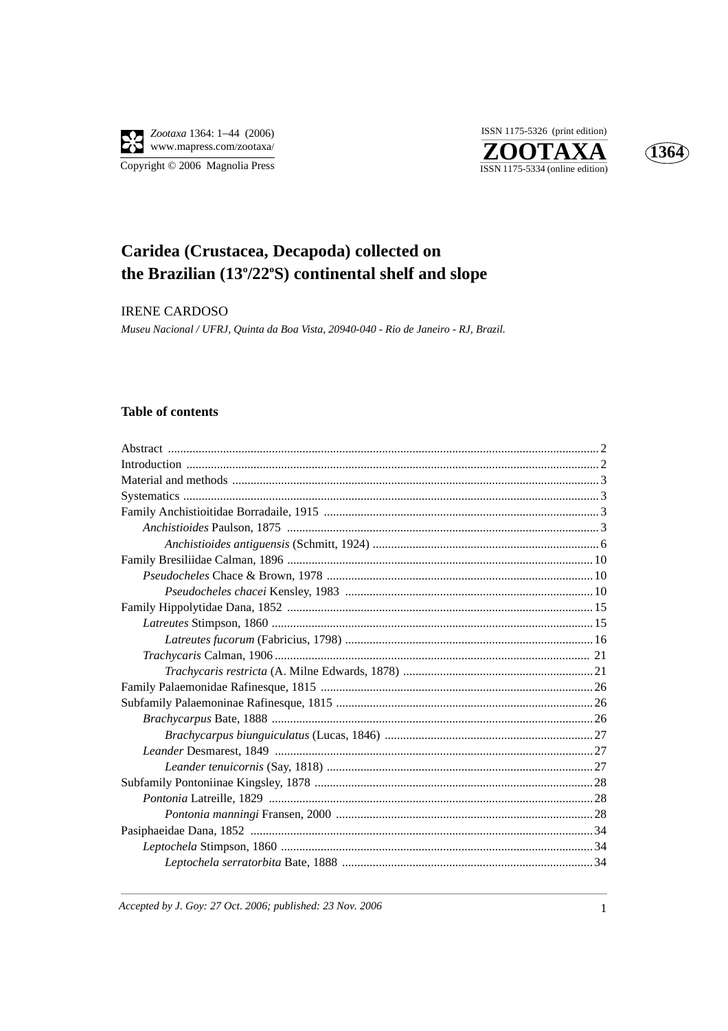





## Caridea (Crustacea, Decapoda) collected on the Brazilian (13°/22°S) continental shelf and slope

**IRENE CARDOSO** 

Museu Nacional / UFRJ, Quinta da Boa Vista, 20940-040 - Rio de Janeiro - RJ, Brazil.

## **Table of contents**

Accepted by J. Goy: 27 Oct. 2006; published: 23 Nov. 2006